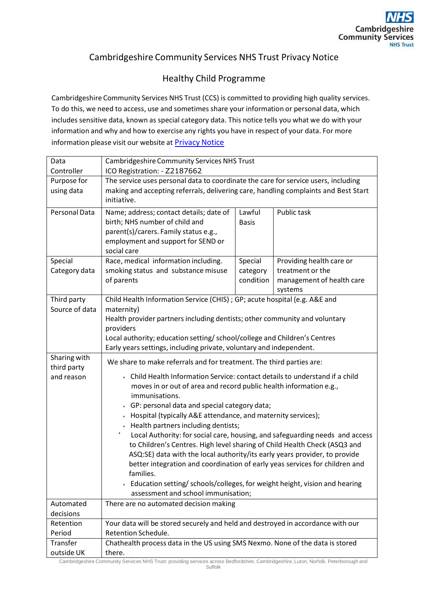## Cambridgeshire Community Services NHS Trust Privacy Notice

## Healthy Child Programme

Cambridgeshire Community Services NHS Trust (CCS) is committed to providing high quality services. To do this, we need to access, use and sometimes share your information or personal data, which includes sensitive data, known as special category data. This notice tells you what we do with your information and why and how to exercise any rights you have in respect of your data. For more information please visit our website at **Privacy Notice** 

| Data                        | <b>Cambridgeshire Community Services NHS Trust</b>                                                                                                        |              |                           |
|-----------------------------|-----------------------------------------------------------------------------------------------------------------------------------------------------------|--------------|---------------------------|
| Controller                  | ICO Registration: - Z2187662                                                                                                                              |              |                           |
| Purpose for                 | The service uses personal data to coordinate the care for service users, including                                                                        |              |                           |
| using data                  | making and accepting referrals, delivering care, handling complaints and Best Start<br>initiative.                                                        |              |                           |
| Personal Data               | Name; address; contact details; date of                                                                                                                   | Lawful       | Public task               |
|                             | birth; NHS number of child and                                                                                                                            | <b>Basis</b> |                           |
|                             | parent(s)/carers. Family status e.g.,                                                                                                                     |              |                           |
|                             | employment and support for SEND or<br>social care                                                                                                         |              |                           |
| Special                     | Race, medical information including.                                                                                                                      | Special      | Providing health care or  |
| Category data               | smoking status and substance misuse                                                                                                                       | category     | treatment or the          |
|                             | of parents                                                                                                                                                | condition    | management of health care |
|                             |                                                                                                                                                           |              | systems                   |
| Third party                 | Child Health Information Service (CHIS) ; GP; acute hospital (e.g. A&E and                                                                                |              |                           |
| Source of data              | maternity)                                                                                                                                                |              |                           |
|                             | Health provider partners including dentists; other community and voluntary                                                                                |              |                           |
|                             | providers                                                                                                                                                 |              |                           |
|                             | Local authority; education setting/ school/college and Children's Centres                                                                                 |              |                           |
|                             | Early years settings, including private, voluntary and independent.                                                                                       |              |                           |
| Sharing with<br>third party | We share to make referrals and for treatment. The third parties are:                                                                                      |              |                           |
| and reason                  | Child Health Information Service: contact details to understand if a child<br>moves in or out of area and record public health information e.g.,          |              |                           |
|                             | immunisations.                                                                                                                                            |              |                           |
|                             | GP: personal data and special category data;                                                                                                              |              |                           |
|                             | > Hospital (typically A&E attendance, and maternity services);                                                                                            |              |                           |
|                             | - Health partners including dentists;                                                                                                                     |              |                           |
|                             | $\epsilon$<br>Local Authority: for social care, housing, and safeguarding needs and access                                                                |              |                           |
|                             | to Children's Centres. High level sharing of Child Health Check (ASQ3 and                                                                                 |              |                           |
|                             | ASQ:SE) data with the local authority/its early years provider, to provide<br>better integration and coordination of early yeas services for children and |              |                           |
|                             | families.                                                                                                                                                 |              |                           |
|                             | > Education setting/ schools/colleges, for weight height, vision and hearing                                                                              |              |                           |
|                             | assessment and school immunisation;                                                                                                                       |              |                           |
| Automated                   | There are no automated decision making                                                                                                                    |              |                           |
| decisions                   |                                                                                                                                                           |              |                           |
| Retention                   | Your data will be stored securely and held and destroyed in accordance with our                                                                           |              |                           |
| Period                      | Retention Schedule.                                                                                                                                       |              |                           |
| Transfer                    | Chathealth process data in the US using SMS Nexmo. None of the data is stored                                                                             |              |                           |
| outside UK                  | there.                                                                                                                                                    |              |                           |

Cambridgeshire Community Services NHS Trust: providing services across Bedfordshire, Cambridgeshire, Luton, Norfolk, Peterborough and